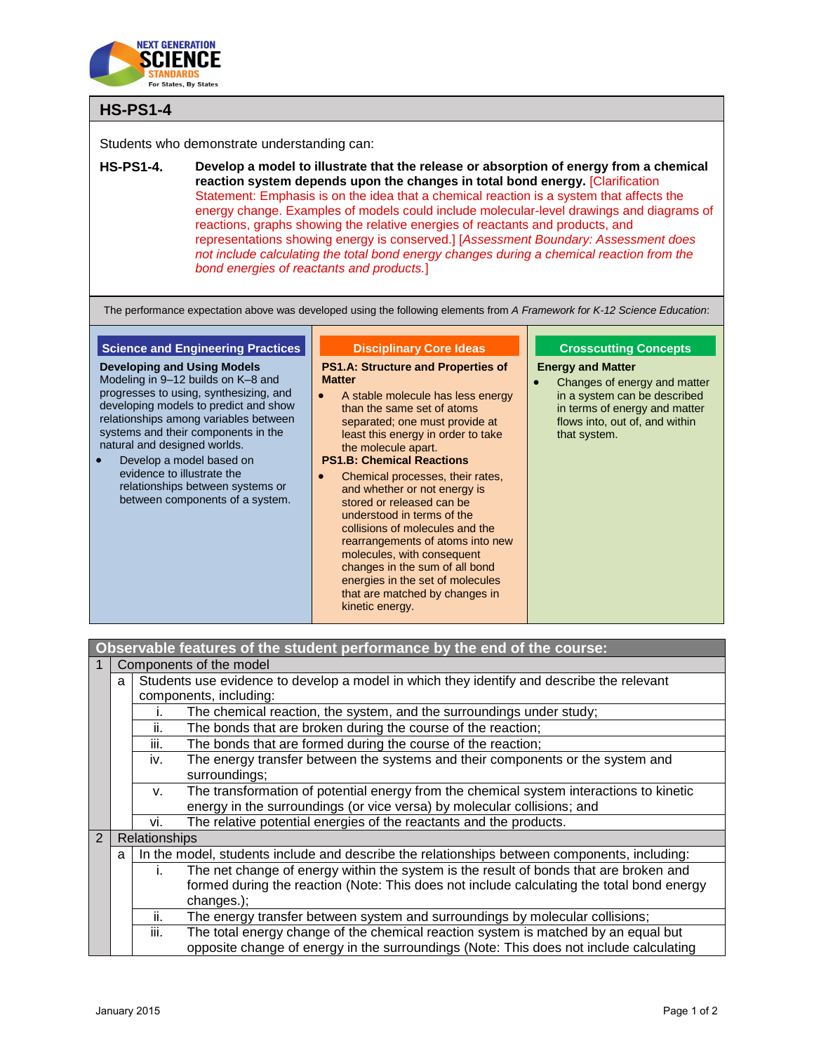

# **HS-PS1-4**

Students who demonstrate understanding can:

**HS-PS1-4. Develop a model to illustrate that the release or absorption of energy from a chemical reaction system depends upon the changes in total bond energy.** [Clarification Statement: Emphasis is on the idea that a chemical reaction is a system that affects the energy change. Examples of models could include molecular-level drawings and diagrams of reactions, graphs showing the relative energies of reactants and products, and representations showing energy is conserved.] [*Assessment Boundary: Assessment does not include calculating the total bond energy changes during a chemical reaction from the bond energies of reactants and products.*]

The performance expectation above was developed using the following elements from *A Framework for K-12 Science Education*:

## **Science and Engineering Practices**

**Developing and Using Models** Modeling in 9–12 builds on K–8 and progresses to using, synthesizing, and developing models to predict and show relationships among variables between systems and their components in the natural and designed worlds.

 Develop a model based on evidence to illustrate the relationships between systems or between components of a system.

#### **Disciplinary Core Ideas**

**PS1.A: Structure and Properties of Matter**

• A stable molecule has less energy than the same set of atoms separated; one must provide at least this energy in order to take the molecule apart.

#### **PS1.B: Chemical Reactions**

 Chemical processes, their rates, and whether or not energy is stored or released can be understood in terms of the collisions of molecules and the rearrangements of atoms into new molecules, with consequent changes in the sum of all bond energies in the set of molecules that are matched by changes in kinetic energy.

### **Crosscutting Concepts**

**Energy and Matter**

 Changes of energy and matter in a system can be described in terms of energy and matter flows into, out of, and within that system.

| Observable features of the student performance by the end of the course: |                                                                                                |      |                                                                                              |  |  |
|--------------------------------------------------------------------------|------------------------------------------------------------------------------------------------|------|----------------------------------------------------------------------------------------------|--|--|
|                                                                          | Components of the model                                                                        |      |                                                                                              |  |  |
|                                                                          | Students use evidence to develop a model in which they identify and describe the relevant<br>a |      |                                                                                              |  |  |
|                                                                          | components, including:                                                                         |      |                                                                                              |  |  |
|                                                                          |                                                                                                | Ť.   | The chemical reaction, the system, and the surroundings under study;                         |  |  |
|                                                                          |                                                                                                | ii.  | The bonds that are broken during the course of the reaction;                                 |  |  |
|                                                                          |                                                                                                | iii. | The bonds that are formed during the course of the reaction;                                 |  |  |
|                                                                          |                                                                                                | iv.  | The energy transfer between the systems and their components or the system and               |  |  |
|                                                                          |                                                                                                |      | surroundings;                                                                                |  |  |
|                                                                          |                                                                                                | v.   | The transformation of potential energy from the chemical system interactions to kinetic      |  |  |
|                                                                          |                                                                                                |      | energy in the surroundings (or vice versa) by molecular collisions; and                      |  |  |
|                                                                          |                                                                                                | vi.  | The relative potential energies of the reactants and the products.                           |  |  |
| $\overline{2}$                                                           | <b>Relationships</b>                                                                           |      |                                                                                              |  |  |
|                                                                          | a                                                                                              |      | In the model, students include and describe the relationships between components, including: |  |  |
|                                                                          |                                                                                                | T.   | The net change of energy within the system is the result of bonds that are broken and        |  |  |
|                                                                          |                                                                                                |      | formed during the reaction (Note: This does not include calculating the total bond energy    |  |  |
|                                                                          |                                                                                                |      | changes.);                                                                                   |  |  |
|                                                                          |                                                                                                | ii.  | The energy transfer between system and surroundings by molecular collisions;                 |  |  |
|                                                                          |                                                                                                | iii. | The total energy change of the chemical reaction system is matched by an equal but           |  |  |
|                                                                          |                                                                                                |      | opposite change of energy in the surroundings (Note: This does not include calculating       |  |  |